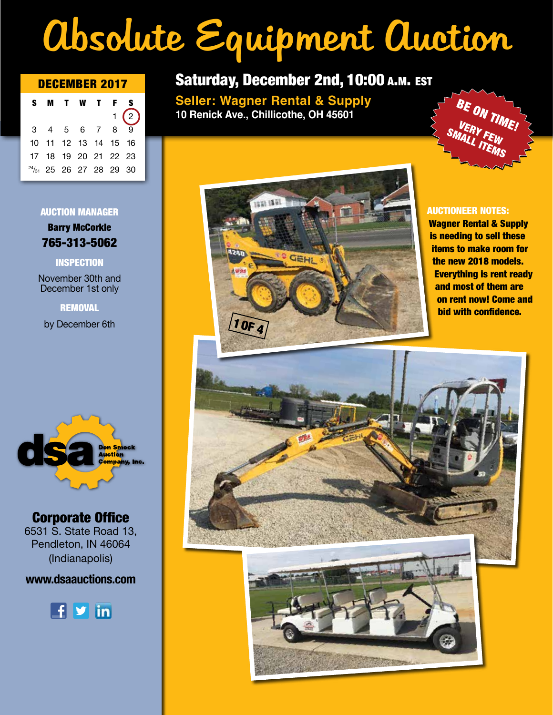# Absolute Equipment Auction

|  |  | S M T W T F S             |              |  |
|--|--|---------------------------|--------------|--|
|  |  |                           | 1(2)         |  |
|  |  | 3 4 5 6 7 8               | $\mathbf{Q}$ |  |
|  |  | 10 11 12 13 14 15 16      |              |  |
|  |  | 17 18 19 20 21 22 23      |              |  |
|  |  | $24/31$ 25 26 27 28 29 30 |              |  |
|  |  |                           |              |  |

#### AUCTION MANAGER

Barry McCorkle 765-313-5062

### INSPECTION

November 30th and December 1st only

**REMOVAL** 

by December 6th



## Corporate Office

6531 S. State Road 13, Pendleton, IN 46064 (Indianapolis)

### **www.dsaauctions.com**



## DECEMBER 2017 Saturday, December 2nd, 10:00 a.m. est

**Seller: Wagner Rental & Supply 10 Renick Ave., Chillicothe, OH 45601**





### AUCTIONEER NOTES:

Wagner Rental & Supply is needing to sell these items to make room for the new 2018 models. Everything is rent ready and most of them are on rent now! Come and bid with confidence.

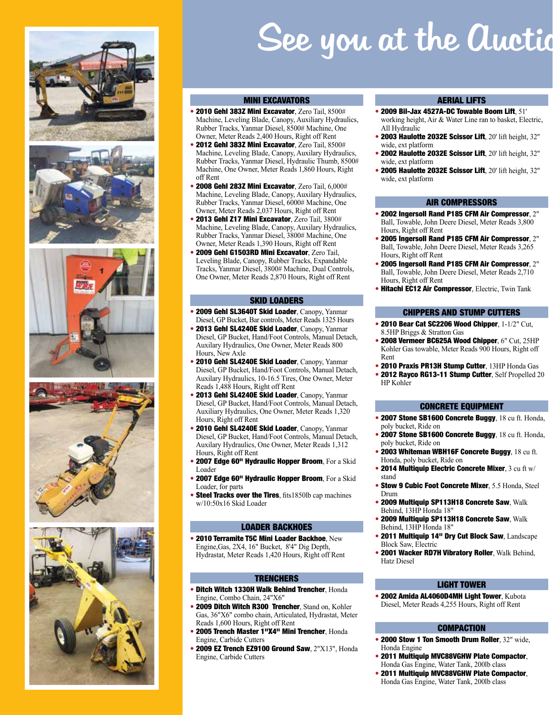









## See you at the Auction

#### MINI EXCAVATORS

- 2010 Gehl 383Z Mini Excavator, Zero Tail, 8500# Machine, Leveling Blade, Canopy, Auxiliary Hydraulics, Rubber Tracks, Yanmar Diesel, 8500# Machine, One Owner, Meter Reads 2,400 Hours, Right off Rent
- 2012 Gehl 383Z Mini Excavator, Zero Tail, 8500# Machine, Leveling Blade, Canopy, Auxilary Hydraulics, Rubber Tracks, Yanmar Diesel, Hydraulic Thumb, 8500# Machine, One Owner, Meter Reads 1,860 Hours, Right off Rent
- 2008 Gehl 283Z Mini Excavator, Zero Tail, 6,000# Machine, Leveling Blade, Canopy, Auxilary Hydraulics, Rubber Tracks, Yanmar Diesel, 6000# Machine, One Owner, Meter Reads 2,037 Hours, Right off Rent
- 2013 Gehl Z17 Mini Excavator, Zero Tail, 3800# Machine, Leveling Blade, Canopy, Auxilary Hydraulics, Rubber Tracks, Yanmar Diesel, 3800# Machine, One Owner, Meter Reads 1,390 Hours, Right off Rent
- 2009 Gehl G1503RD Mini Excavator, Zero Tail, Leveling Blade, Canopy, Rubber Tracks, Expandable Tracks, Yanmar Diesel, 3800# Machine, Dual Controls, One Owner, Meter Reads 2,870 Hours, Right off Rent

#### SKID LOADERS

- 2009 Gehl SL3640T Skid Loader, Canopy, Yanmar Diesel, GP Bucket, Bar controls, Meter Reads 1325 Hours
- 2013 Gehl SL4240E Skid Loader, Canopy, Yanmar Diesel, GP Bucket, Hand/Foot Controls, Manual Detach, Auxilary Hydraulics, One Owner, Meter Reads 800 Hours, New Axle
- 2010 Gehl SL4240E Skid Loader, Canopy, Yanmar Diesel, GP Bucket, Hand/Foot Controls, Manual Detach, Auxilary Hydraulics, 10-16.5 Tires, One Owner, Meter Reads 1,488 Hours, Right off Rent
- 2013 Gehl SL4240E Skid Loader, Canopy, Yanmar Diesel, GP Bucket, Hand/Foot Controls, Manual Detach, Auxiliary Hydraulics, One Owner, Meter Reads 1,320 Hours, Right off Rent
- 2010 Gehl SL4240E Skid Loader, Canopy, Yanmar Diesel, GP Bucket, Hand/Foot Controls, Manual Detach, Auxilary Hydraulics, One Owner, Meter Reads 1,312 Hours, Right off Rent
- 2007 Edge 60" Hydraulic Hopper Broom, For a Skid Loader
- 2007 Edge 60" Hydraulic Hopper Broom, For a Skid Loader, for parts
- Steel Tracks over the Tires, fits1850lb cap machines w/10:50x16 Skid Loader

#### LOADER BACKHOES

• 2010 Terramite T5C Mini Loader Backhoe, New Engine,Gas, 2X4, 16" Bucket, 8'4" Dig Depth, Hydrastat, Meter Reads 1,420 Hours, Right off Rent

#### **TRENCHERS**

- Ditch Witch 1330H Walk Behind Trencher, Honda Engine, Combo Chain, 24"X6"
- 2009 Ditch Witch R300 Trencher, Stand on, Kohler Gas, 36"X6" combo chain, Articulated, Hydrastat, Meter Reads 1,600 Hours, Right off Rent
- 2005 Trench Master 1"X4" Mini Trencher, Honda Engine, Carbide Cutters
- 2009 EZ Trench EZ9100 Ground Saw, 2"X13", Honda Engine, Carbide Cutters

#### AERIAL LIFTS

- 2009 Bil-Jax 4527A-DC Towable Boom Lift, 51' working height, Air & Water Line ran to basket, Electric, All Hydraulic
- 2003 Haulotte 2032E Scissor Lift, 20' lift height, 32" wide, ext platform
- 2002 Haulotte 2032E Scissor Lift, 20' lift height, 32" wide, ext platform
- 2005 Haulotte 2032E Scissor Lift, 20' lift height, 32" wide, ext platform

#### AIR COMPRESSORS

- 2002 Ingersoll Rand P185 CFM Air Compressor, 2" Ball, Towable, John Deere Diesel, Meter Reads 3,800 Hours, Right off Rent
- 2005 Ingersoll Rand P185 CFM Air Compressor, 2" Ball, Towable, John Deere Diesel, Meter Reads 3,265 Hours, Right off Rent
- 2005 Ingersoll Rand P185 CFM Air Compressor, 2" Ball, Towable, John Deere Diesel, Meter Reads 2,710 Hours, Right off Rent
- Hitachi EC12 Air Compressor, Electric, Twin Tank

#### CHIPPERS AND STUMP CUTTERS

- 2010 Bear Cat SC2206 Wood Chipper, 1-1/2" Cut, 8.5HP Briggs & Stratton Gas
- 2008 Vermeer BC625A Wood Chipper, 6" Cut, 25HP Kohler Gas towable, Meter Reads 900 Hours, Right off Rent
- 2010 Praxis PR13H Stump Cutter, 13HP Honda Gas
- 2012 Ravco RG13-11 Stump Cutter, Self Propelled 20 HP Kohler

#### CONCRETE EQUIPMENT

- 2007 Stone SB1600 Concrete Buggy, 18 cu ft. Honda, poly bucket, Ride on
- 2007 Stone SB1600 Concrete Buggy, 18 cu ft. Honda, poly bucket, Ride on
- 2003 Whiteman WBH16F Concrete Buggy, 18 cu ft. Honda, poly bucket, Ride on
- 2014 Multiquip Electric Concrete Mixer, 3 cu ft w/ stand
- Stow 9 Cubic Foot Concrete Mixer, 5.5 Honda, Steel Drum
- 2009 Multiquip SP113H18 Concrete Saw, Walk Behind, 13HP Honda 18"
- 2009 Multiquip SP113H18 Concrete Saw, Walk Behind, 13HP Honda 18"
- 2011 Multiquip 14" Dry Cut Block Saw, Landscape Block Saw, Electric
- 2001 Wacker RD7H Vibratory Roller, Walk Behind, Hatz Diesel

#### LIGHT TOWER

• 2002 Amida AL4060D4MH Light Tower, Kubota Diesel, Meter Reads 4,255 Hours, Right off Rent

#### **COMPACTION**

- 2000 Stow 1 Ton Smooth Drum Roller, 32" wide. Honda Engine
- 2011 Multiquip MVC88VGHW Plate Compactor, Honda Gas Engine, Water Tank, 200lb class
- 2011 Multiquip MVC88VGHW Plate Compactor Honda Gas Engine, Water Tank, 200lb class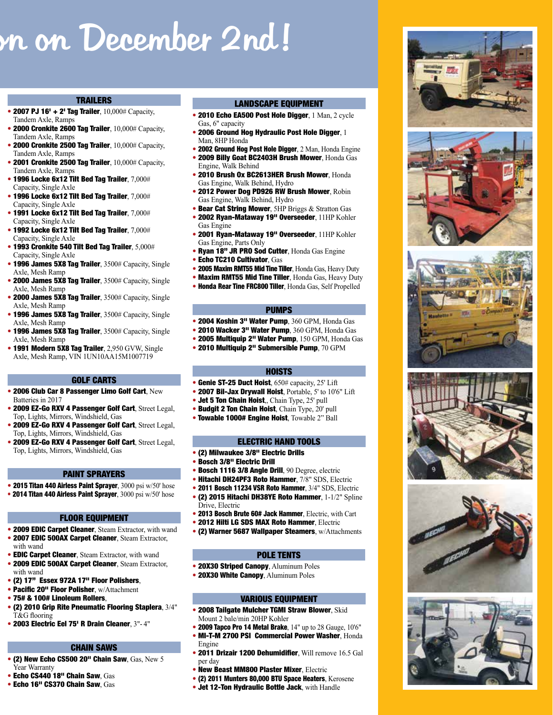## on December 2nd!

### TRAILERS

- 2007 PJ 16' + 2' Tag Trailer,  $10,000\#$  Capacity, Tandem Axle, Ramps
- 2000 Cronkite 2600 Tag Trailer, 10,000# Capacity, Tandem Axle, Ramps
- 2000 Cronkite 2500 Tag Trailer,  $10,000\text{\#}$  Capacity, Tandem Axle, Ramps
- 2001 Cronkite 2500 Tag Trailer, 10,000# Capacity, Tandem Axle, Ramps
- $\bullet$  1996 Locke 6x12 Tilt Bed Tag Trailer,  $7,000\#$ Capacity, Single Axle
- $\bullet$  1996 Locke 6x12 Tilt Bed Tag Trailer,  $7,000\#$ Capacity, Single Axle
- 1991 Locke 6x12 Tilt Bed Tag Trailer,  $7,000\#$ Capacity, Single Axle
- 1992 Locke 6x12 Tilt Bed Tag Trailer,  $7,000\#$ Capacity, Single Axle
- $\bullet$  1993 Cronkite 540 Tilt Bed Tag Trailer,  $5,000\#$ Capacity, Single Axle
- 1996 James 5X8 Tag Trailer, 3500# Capacity, Single Axle, Mesh Ramp
- 2000 James 5X8 Tag Trailer, 3500# Capacity, Single Axle, Mesh Ramp
- 2000 James 5X8 Tag Trailer, 3500# Capacity, Single Axle, Mesh Ramp
- 1996 James 5X8 Tag Trailer, 3500# Capacity, Single Axle, Mesh Ramp
- 1996 James 5X8 Tag Trailer, 3500# Capacity, Single Axle, Mesh Ramp
- 1991 Modern 5X8 Tag Trailer, 2,950 GVW, Single Axle, Mesh Ramp, VIN 1UN10AA15M1007719

#### GOLF CARTS

- 2006 Club Car 8 Passenger Limo Golf Cart, New Batteries in 2017
- 2009 EZ-Go RXV 4 Passenger Golf Cart, Street Legal, Top, Lights, Mirrors, Windshield, Gas
- 2009 EZ-Go RXV 4 Passenger Golf Cart, Street Legal, Top, Lights, Mirrors, Windshield, Gas
- 2009 EZ-Go RXV 4 Passenger Golf Cart, Street Legal, Top, Lights, Mirrors, Windshield, Gas

#### PAINT SPRAYERS

- 2015 Titan 440 Airless Paint Sprayer, 3000 psi w/50' hose
- 2014 Titan 440 Airless Paint Sprayer, 3000 psi w/50' hose

#### FLOOR EQUIPMENT

- 2009 EDIC Carpet Cleaner, Steam Extractor, with wand • 2007 EDIC 500AX Carpet Cleaner, Steam Extractor,
- with wand
- EDIC Carpet Cleaner, Steam Extractor, with wand
- 2009 EDIC 500AX Carpet Cleaner, Steam Extractor, with wand • (2) 17" Essex 972A 17" Floor Polishers,
- Pacific 20" Floor Polisher, w/Attachment
- 75# & 100# Linoleum Rollers,
- (2) 2010 Grip Rite Pneumatic Flooring Staplera, 3/4" T&G flooring
- 2003 Electric Eel 75' R Drain Cleaner, 3"- 4"

#### CHAIN SAWS

- (2) New Echo CS500 20" Chain Saw, Gas, New 5 Year Warranty
- Echo CS440 18" Chain Saw, Gas
- Echo 16" CS370 Chain Saw, Gas

#### LANDSCAPE EQUIPMENT

- 2010 Echo EA500 Post Hole Digger, 1 Man, 2 cycle Gas, 6" capacity
- 2006 Ground Hog Hydraulic Post Hole Digger, 1 Man, 8HP Honda
- 2002 Ground Hog Post Hole Digger, 2 Man, Honda Engine
- 2009 Billy Goat BC2403H Brush Mower, Honda Gas Engine, Walk Behind
- 2010 Brush Ox BC2613HER Brush Mower, Honda Gas Engine, Walk Behind, Hydro
- 2012 Power Dog PD926 RW Brush Mower, Robin Gas Engine, Walk Behind, Hydro
- Bear Cat String Mower, 5HP Briggs & Stratton Gas
- 2002 Ryan-Mataway 19" Overseeder, 11HP Kohler Gas Engine
- 2001 Ryan-Mataway 19" Overseeder, 11HP Kohler Gas Engine, Parts Only
- Ryan 18" JR PRO Sod Cutter, Honda Gas Engine
- Echo TC210 Cultivator, Gas
- 2005 Maxim RMT55 Mid Tine Tiller, Honda Gas, Heavy Duty
- Maxim RMT55 Mid Tine Tiller, Honda Gas, Heavy Duty
- Honda Rear Tine FRC800 Tiller, Honda Gas, Self Propelled

#### PUMPS

- 2004 Koshin 3" Water Pump, 360 GPM, Honda Gas
- 2010 Wacker 3" Water Pump, 360 GPM, Honda Gas
- 2005 Multiquip 2" Water Pump, 150 GPM, Honda Gas
- 2010 Multiquip 2" Submersible Pump, 70 GPM

#### **HOISTS**

- Genie ST-25 Duct Hoist, 650# capacity, 25' Lift
- 2007 Bil-Jax Drywall Hoist, Portable, 5' to 10'6" Lift
- Jet 5 Ton Chain Hoist,, Chain Type, 25' pull
- Budgit 2 Ton Chain Hoist, Chain Type, 20' pull
- Towable 1000# Engine Hoist, Towable 2" Ball

#### ELECTRIC HAND TOOLS

- (2) Milwaukee 3/8" Electric Drills
- Bosch 1116 3/8 Angle Drill, 90 Degree, electric
- Hitachi DH24PF3 Roto Hammer, 7/8" SDS, Electric
- 2011 Bosch 11234 VSR Roto Hammer, 3/4" SDS, Electric • (2) 2015 Hitachi DH38YE Roto Hammer, 1-1/2" Spline
- Drive, Electric
- 2013 Bosch Brute 60# Jack Hammer, Electric, with Cart • 2012 Hilti LG SDS MAX Roto Hammer, Electric
- 
- (2) Warner 5687 Wallpaper Steamers, w/Attachments

#### POLE TENTS

- 20X30 Striped Canopy, Aluminum Poles
- 20X30 White Canopy, Aluminum Poles

#### VARIOUS EQUIPMENT

- 2008 Tailgate Mulcher TGMI Straw Blower, Skid Mount 2 bale/min 20HP Kohler
- 2009 Tapco Pro 14 Metal Brake, 14" up to 28 Gauge, 10'6"
- MI-T-M 2700 PSI Commercial Power Washer, Honda Engine
- 2011 Drizair 1200 Dehumidifier, Will remove 16.5 Gal per day
- New Beast MM800 Plaster Mixer, Electric
- (2) 2011 Munters 80,000 BTU Space Heaters, Kerosene
- Jet 12-Ton Hydraulic Bottle Jack, with Handle













• Bosch 3/8" Electric Drill